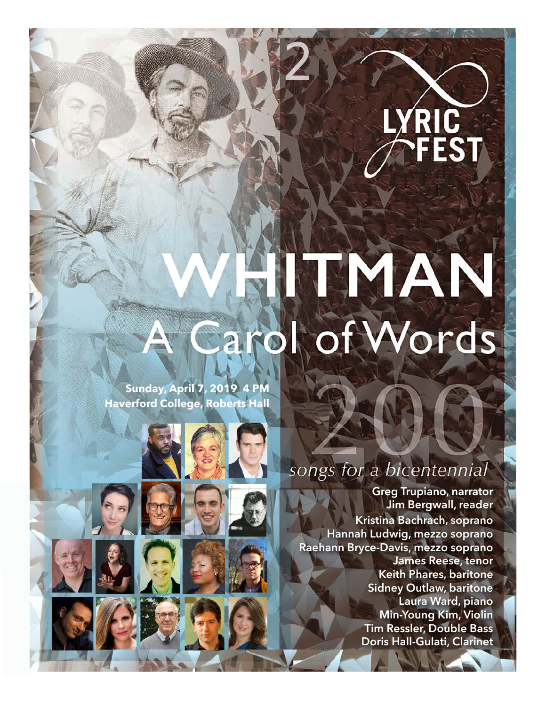# RIC<br>FEST

## MAN arol of Words

2

**Sunday, April 7, 2019 4 PM Haverford College, Roberts Hall**



### songs for a bicentennial

**Greg Trupiano, narrator Jim Bergwall, reader Kristina Bachrach, soprano Hannah Ludwig, mezzo soprano Raehann Bryce-Davis, mezzo soprano James Reese, tenor Keith Phares, baritone Sidney Outlaw, baritone Laura Ward, piano Min-Young Kim, Violin Tim Ressler, Double Bass Doris Hall-Gulati, Clarinet**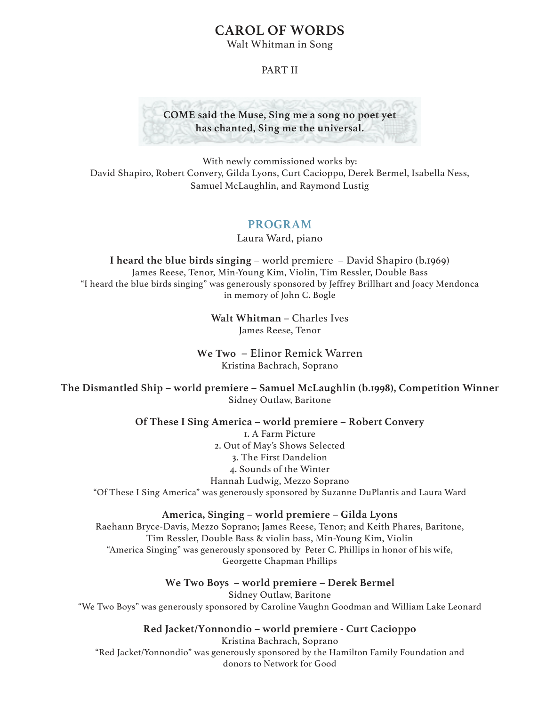#### **CAROL OF WORDS**

Walt Whitman in Song

#### PART II



With newly commissioned works by: David Shapiro, Robert Convery, Gilda Lyons, Curt Cacioppo, Derek Bermel, Isabella Ness, Samuel McLaughlin, and Raymond Lustig

#### **PROGRAM**

Laura Ward, piano

**I heard the blue birds singing** – world premiere – David Shapiro (b.1969) James Reese, Tenor, Min-Young Kim, Violin, Tim Ressler, Double Bass "I heard the blue birds singing" was generously sponsored by Jeffrey Brillhart and Joacy Mendonca in memory of John C. Bogle

> **Walt Whitman –** Charles Ives James Reese, Tenor

**We Two –** Elinor Remick Warren Kristina Bachrach, Soprano

**The Dismantled Ship – world premiere – Samuel McLaughlin (b.1998), Competition Winner**  Sidney Outlaw, Baritone

#### **Of These I Sing America – world premiere – Robert Convery**

1. A Farm Picture 2. Out of May's Shows Selected 3. The First Dandelion 4. Sounds of the Winter Hannah Ludwig, Mezzo Soprano "Of These I Sing America" was generously sponsored by Suzanne DuPlantis and Laura Ward

#### **America, Singing – world premiere – Gilda Lyons**

Raehann Bryce-Davis, Mezzo Soprano; James Reese, Tenor; and Keith Phares, Baritone, Tim Ressler, Double Bass & violin bass, Min-Young Kim, Violin "America Singing" was generously sponsored by Peter C. Phillips in honor of his wife, Georgette Chapman Phillips

**We Two Boys – world premiere – Derek Bermel**  Sidney Outlaw, Baritone "We Two Boys" was generously sponsored by Caroline Vaughn Goodman and William Lake Leonard

**Red Jacket/Yonnondio – world premiere - Curt Cacioppo** 

Kristina Bachrach, Soprano "Red Jacket/Yonnondio" was generously sponsored by the Hamilton Family Foundation and donors to Network for Good